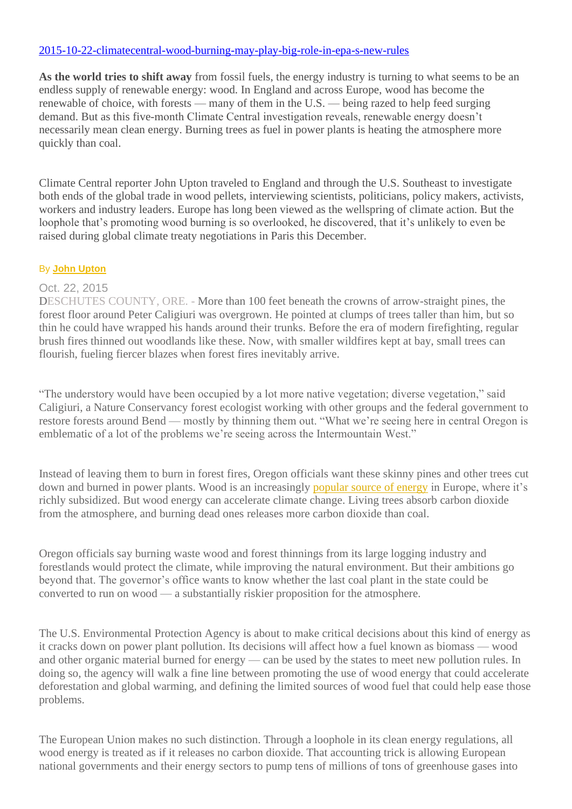### [2015-10-22-climatecentral-wood-burning-may-play-big-role-in-epa-s-new-rules](https://reports.climatecentral.org/pulp-fiction/3/)

**As the world tries to shift away** from fossil fuels, the energy industry is turning to what seems to be an endless supply of renewable energy: wood. In England and across Europe, wood has become the renewable of choice, with forests — many of them in the U.S. — being razed to help feed surging demand. But as this five-month Climate Central investigation reveals, renewable energy doesn't necessarily mean clean energy. Burning trees as fuel in power plants is heating the atmosphere more quickly than coal.

Climate Central reporter John Upton traveled to England and through the U.S. Southeast to investigate both ends of the global trade in wood pellets, interviewing scientists, politicians, policy makers, activists, workers and industry leaders. Europe has long been viewed as the wellspring of climate action. But the loophole that's promoting wood burning is so overlooked, he discovered, that it's unlikely to even be raised during global climate treaty negotiations in Paris this December.

#### By **[John Upton](https://www.climatecentral.org/what-we-do/people/john-upton)**

#### Oct. 22, 2015

DESCHUTES COUNTY, ORE. - More than 100 feet beneath the crowns of arrow-straight pines, the forest floor around Peter Caligiuri was overgrown. He pointed at clumps of trees taller than him, but so thin he could have wrapped his hands around their trunks. Before the era of modern firefighting, regular brush fires thinned out woodlands like these. Now, with smaller wildfires kept at bay, small trees can flourish, fueling fiercer blazes when forest fires inevitably arrive.

"The understory would have been occupied by a lot more native vegetation; diverse vegetation," said Caligiuri, a Nature Conservancy forest ecologist working with other groups and the federal government to restore forests around Bend — mostly by thinning them out. "What we're seeing here in central Oregon is emblematic of a lot of the problems we're seeing across the Intermountain West."

Instead of leaving them to burn in forest fires, Oregon officials want these skinny pines and other trees cut down and burned in power plants. Wood is an increasingly [popular source of energy](https://reports.climatecentral.org/pulp-fiction/1/) in Europe, where it's richly subsidized. But wood energy can accelerate climate change. Living trees absorb carbon dioxide from the atmosphere, and burning dead ones releases more carbon dioxide than coal.

Oregon officials say burning waste wood and forest thinnings from its large logging industry and forestlands would protect the climate, while improving the natural environment. But their ambitions go beyond that. The governor's office wants to know whether the last coal plant in the state could be converted to run on wood — a substantially riskier proposition for the atmosphere.

The U.S. Environmental Protection Agency is about to make critical decisions about this kind of energy as it cracks down on power plant pollution. Its decisions will affect how a fuel known as biomass — wood and other organic material burned for energy — can be used by the states to meet new pollution rules. In doing so, the agency will walk a fine line between promoting the use of wood energy that could accelerate deforestation and global warming, and defining the limited sources of wood fuel that could help ease those problems.

The European Union makes no such distinction. Through a loophole in its clean energy regulations, all wood energy is treated as if it releases no carbon dioxide. That accounting trick is allowing European national governments and their energy sectors to pump tens of millions of tons of greenhouse gases into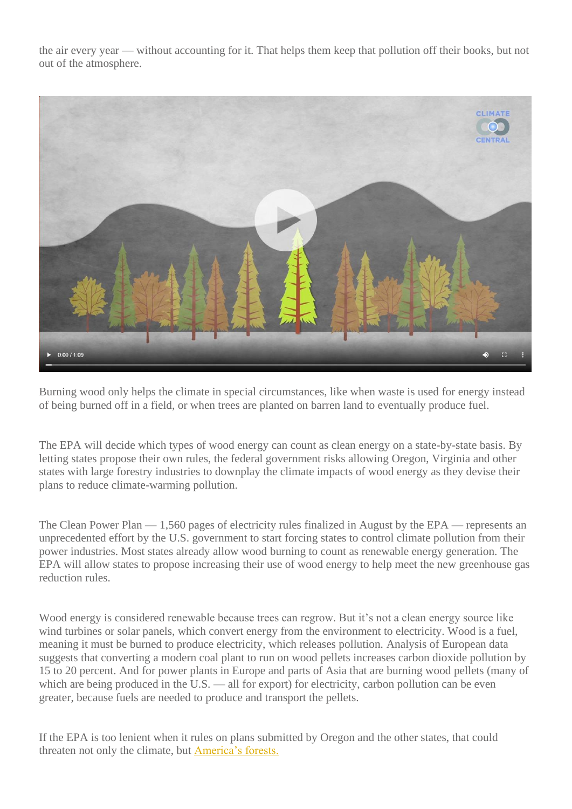the air every year — without accounting for it. That helps them keep that pollution off their books, but not out of the atmosphere.



Burning wood only helps the climate in special circumstances, like when waste is used for energy instead of being burned off in a field, or when trees are planted on barren land to eventually produce fuel.

The EPA will decide which types of wood energy can count as clean energy on a state-by-state basis. By letting states propose their own rules, the federal government risks allowing Oregon, Virginia and other states with large forestry industries to downplay the climate impacts of wood energy as they devise their plans to reduce climate-warming pollution.

The Clean Power Plan — 1,560 pages of electricity rules finalized in August by the EPA — represents an unprecedented effort by the U.S. government to start forcing states to control climate pollution from their power industries. Most states already allow wood burning to count as renewable energy generation. The EPA will allow states to propose increasing their use of wood energy to help meet the new greenhouse gas reduction rules.

Wood energy is considered renewable because trees can regrow. But it's not a clean energy source like wind turbines or solar panels, which convert energy from the environment to electricity. Wood is a fuel, meaning it must be burned to produce electricity, which releases pollution. Analysis of European data suggests that converting a modern coal plant to run on wood pellets increases carbon dioxide pollution by 15 to 20 percent. And for power plants in Europe and parts of Asia that are burning wood pellets (many of which are being produced in the U.S. — all for export) for electricity, carbon pollution can be even greater, because fuels are needed to produce and transport the pellets.

If the EPA is too lenient when it rules on plans submitted by Oregon and the other states, that could threaten not only the climate, but [America's forests.](https://reports.climatecentral.org/pulp-fiction/2/)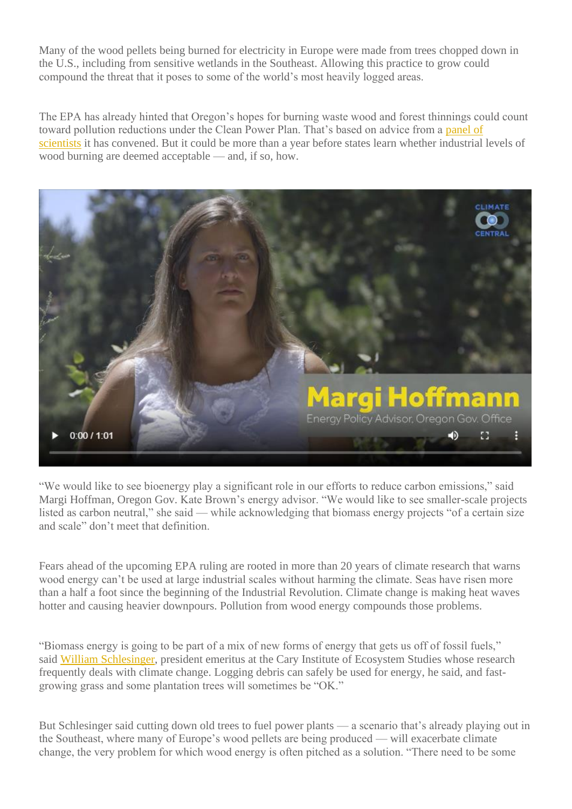Many of the wood pellets being burned for electricity in Europe were made from trees chopped down in the U.S., including from sensitive wetlands in the Southeast. Allowing this practice to grow could compound the threat that it poses to some of the world's most heavily logged areas.

The EPA has already hinted that Oregon's hopes for burning waste wood and forest thinnings could count toward pollution reductions under the Clean Power Plan. That's based on advice from a panel of [scientists](http://yosemite.epa.gov/sab/sabpeople.nsf/WebCommitteesSubcommittees/Biogenic%20Carbon%20Emissions%20Panel) it has convened. But it could be more than a year before states learn whether industrial levels of wood burning are deemed acceptable — and, if so, how.



"We would like to see bioenergy play a significant role in our efforts to reduce carbon emissions," said Margi Hoffman, Oregon Gov. Kate Brown's energy advisor. "We would like to see smaller-scale projects listed as carbon neutral," she said — while acknowledging that biomass energy projects "of a certain size and scale" don't meet that definition.

Fears ahead of the upcoming EPA ruling are rooted in more than 20 years of climate research that warns wood energy can't be used at large industrial scales without harming the climate. Seas have risen more than a half a foot since the beginning of the Industrial Revolution. Climate change is making heat waves hotter and causing heavier downpours. Pollution from wood energy compounds those problems.

"Biomass energy is going to be part of a mix of new forms of energy that gets us off of fossil fuels," said [William Schlesinger,](http://www.caryinstitute.org/science-program/our-scientists/dr-william-h-schlesinger) president emeritus at the Cary Institute of Ecosystem Studies whose research frequently deals with climate change. Logging debris can safely be used for energy, he said, and fastgrowing grass and some plantation trees will sometimes be "OK."

But Schlesinger said cutting down old trees to fuel power plants — a scenario that's already playing out in the Southeast, where many of Europe's wood pellets are being produced — will exacerbate climate change, the very problem for which wood energy is often pitched as a solution. "There need to be some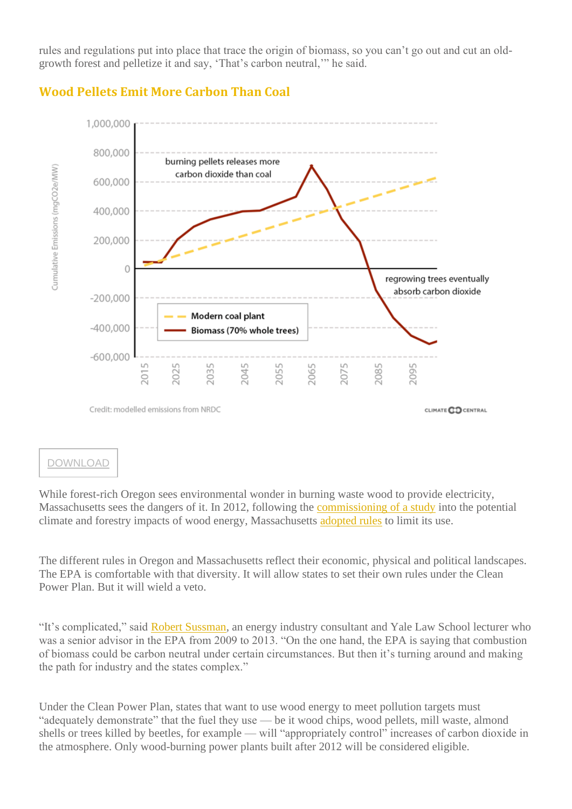rules and regulations put into place that trace the origin of biomass, so you can't go out and cut an oldgrowth forest and pelletize it and say, 'That's carbon neutral,'" he said.



# **Wood Pellets Emit More Carbon Than Coal**

## [DOWNLOAD](https://reports.climatecentral.org/pulp-fiction/images/biomass2.png)

While forest-rich Oregon sees environmental wonder in burning waste wood to provide electricity, Massachusetts sees the dangers of it. In 2012, following the [commissioning of a study](https://www.manomet.org/program/sustainable-economies/study-woody-biomass-energy) into the potential climate and forestry impacts of wood energy, Massachusetts [adopted rules](http://www.mass.gov/eea/energy-utilities-clean-tech/renewable-energy/biomass/renewable-portfolio-standard-biomass-policy.html) to limit its use.

The different rules in Oregon and Massachusetts reflect their economic, physical and political landscapes. The EPA is comfortable with that diversity. It will allow states to set their own rules under the Clean Power Plan. But it will wield a veto.

"It's complicated," said [Robert Sussman,](https://www.linkedin.com/pub/robert-sussman/77/5a2/782) an energy industry consultant and Yale Law School lecturer who was a senior advisor in the EPA from 2009 to 2013. "On the one hand, the EPA is saying that combustion of biomass could be carbon neutral under certain circumstances. But then it's turning around and making the path for industry and the states complex."

Under the Clean Power Plan, states that want to use wood energy to meet pollution targets must "adequately demonstrate" that the fuel they use — be it wood chips, wood pellets, mill waste, almond shells or trees killed by beetles, for example — will "appropriately control" increases of carbon dioxide in the atmosphere. Only wood-burning power plants built after 2012 will be considered eligible.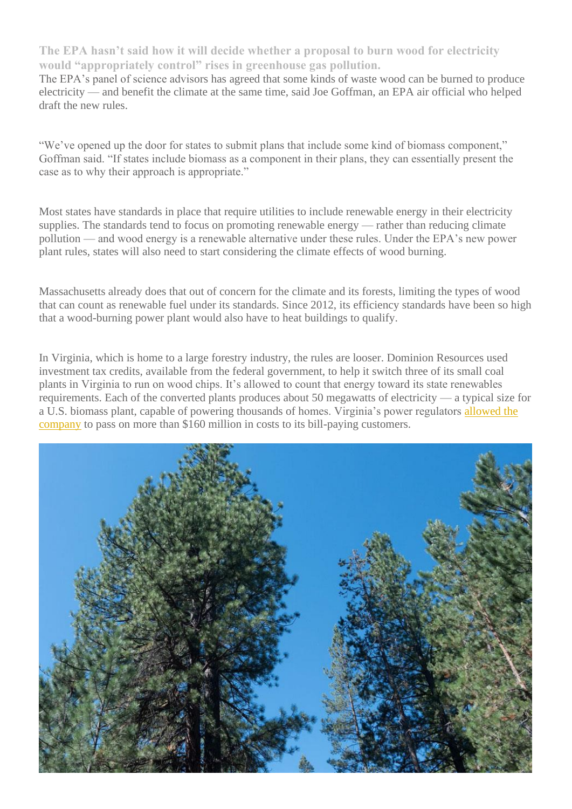**The EPA hasn't said how it will decide whether a proposal to burn wood for electricity would "appropriately control" rises in greenhouse gas pollution.**

The EPA's panel of science advisors has agreed that some kinds of waste wood can be burned to produce electricity — and benefit the climate at the same time, said Joe Goffman, an EPA air official who helped draft the new rules.

"We've opened up the door for states to submit plans that include some kind of biomass component," Goffman said. "If states include biomass as a component in their plans, they can essentially present the case as to why their approach is appropriate."

Most states have standards in place that require utilities to include renewable energy in their electricity supplies. The standards tend to focus on promoting renewable energy — rather than reducing climate pollution — and wood energy is a renewable alternative under these rules. Under the EPA's new power plant rules, states will also need to start considering the climate effects of wood burning.

Massachusetts already does that out of concern for the climate and its forests, limiting the types of wood that can count as renewable fuel under its standards. Since 2012, its efficiency standards have been so high that a wood-burning power plant would also have to heat buildings to qualify.

In Virginia, which is home to a large forestry industry, the rules are looser. Dominion Resources used investment tax credits, available from the federal government, to help it switch three of its small coal plants in Virginia to run on wood chips. It's allowed to count that energy toward its state renewables requirements. Each of the converted plants produces about 50 megawatts of electricity — a typical size for a U.S. biomass plant, capable of powering thousands of homes. Virginia's power regulators [allowed the](http://www.scc.virginia.gov/docketsearch/DOCS/2mdp01!.PDF)  [company](http://www.scc.virginia.gov/docketsearch/DOCS/2mdp01!.PDF) to pass on more than \$160 million in costs to its bill-paying customers.

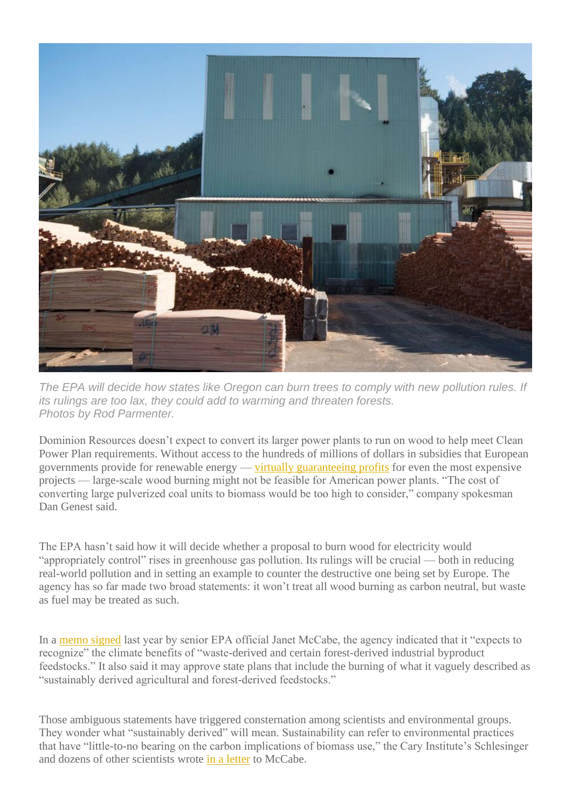

*The EPA will decide how states like Oregon can burn trees to comply with new pollution rules. If its rulings are too lax, they could add to warming and threaten forests. Photos by Rod Parmenter.*

Dominion Resources doesn't expect to convert its larger power plants to run on wood to help meet Clean Power Plan requirements. Without access to the hundreds of millions of dollars in subsidies that European governments provide for renewable energy — [virtually guaranteeing profits](https://www.gov.uk/government/collections/electricity-market-reform-contracts-for-difference) for even the most expensive projects — large-scale wood burning might not be feasible for American power plants. "The cost of converting large pulverized coal units to biomass would be too high to consider," company spokesman Dan Genest said.

The EPA hasn't said how it will decide whether a proposal to burn wood for electricity would "appropriately control" rises in greenhouse gas pollution. Its rulings will be crucial — both in reducing real-world pollution and in setting an example to counter the destructive one being set by Europe. The agency has so far made two broad statements: it won't treat all wood burning as carbon neutral, but waste as fuel may be treated as such.

In a [memo signed](http://www3.epa.gov/climatechange/downloads/Biogenic-CO2-Emissions-Memo-111914.pdf) last year by senior EPA official Janet McCabe, the agency indicated that it "expects to recognize" the climate benefits of "waste-derived and certain forest-derived industrial byproduct feedstocks." It also said it may approve state plans that include the burning of what it vaguely described as "sustainably derived agricultural and forest-derived feedstocks."

Those ambiguous statements have triggered consternation among scientists and environmental groups. They wonder what "sustainably derived" will mean. Sustainability can refer to environmental practices that have "little-to-no bearing on the carbon implications of biomass use," the Cary Institute's Schlesinger and dozens of other scientists wrote [in a letter](http://www.caryinstitute.org/sites/default/files/public/downloads/2015_ltr_carbon_biomass.pdf) to McCabe.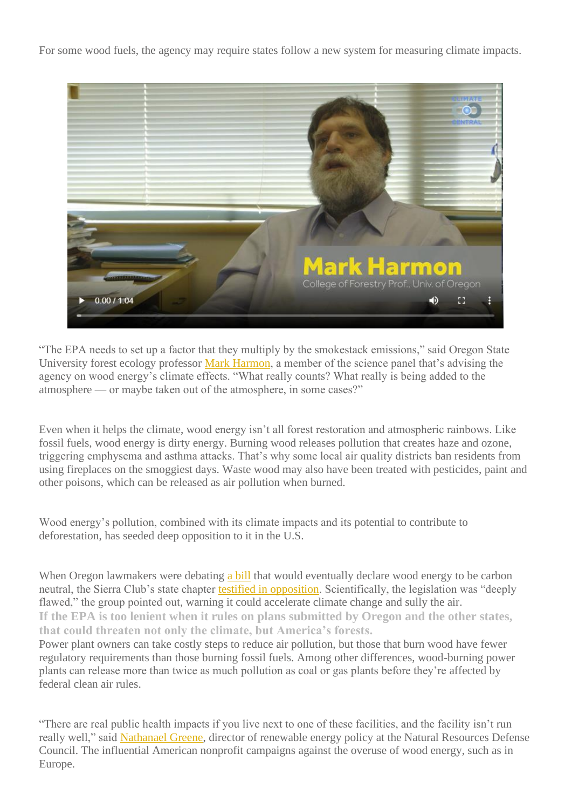For some wood fuels, the agency may require states follow a new system for measuring climate impacts.



"The EPA needs to set up a factor that they multiply by the smokestack emissions," said Oregon State University forest ecology professor [Mark Harmon,](http://www.google.com/url?q=http%3A%2F%2Ffes.forestry.oregonstate.edu%2Ffaculty%2Fharmon-mark&sa=D&sntz=1&usg=AFQjCNEUabLWwnLbfdOC4rB64BDPM6M6pQ) a member of the science panel that's advising the agency on wood energy's climate effects. "What really counts? What really is being added to the atmosphere — or maybe taken out of the atmosphere, in some cases?"

Even when it helps the climate, wood energy isn't all forest restoration and atmospheric rainbows. Like fossil fuels, wood energy is dirty energy. Burning wood releases pollution that creates haze and ozone, triggering emphysema and asthma attacks. That's why some local air quality districts ban residents from using fireplaces on the smoggiest days. Waste wood may also have been treated with pesticides, paint and other poisons, which can be released as air pollution when burned.

Wood energy's pollution, combined with its climate impacts and its potential to contribute to deforestation, has seeded deep opposition to it in the U.S.

When Oregon lawmakers were debating [a bill](https://olis.leg.state.or.us/liz/2015R1/Downloads/MeasureDocument/SB752) that would eventually declare wood energy to be carbon neutral, the Sierra Club's state chapter [testified in opposition.](https://olis.leg.state.or.us/liz/2015R1/Downloads/CommitteeMeetingDocument/75200) Scientifically, the legislation was "deeply flawed," the group pointed out, warning it could accelerate climate change and sully the air. **If the EPA is too lenient when it rules on plans submitted by Oregon and the other states, that could threaten not only the climate, but America's forests.**

Power plant owners can take costly steps to reduce air pollution, but those that burn wood have fewer regulatory requirements than those burning fossil fuels. Among other differences, wood-burning power plants can release more than twice as much pollution as coal or gas plants before they're affected by federal clean air rules.

"There are real public health impacts if you live next to one of these facilities, and the facility isn't run really well," said [Nathanael Greene,](http://www.nrdc.org/about/staff/nathanael-greene) director of renewable energy policy at the Natural Resources Defense Council. The influential American nonprofit campaigns against the overuse of wood energy, such as in Europe.